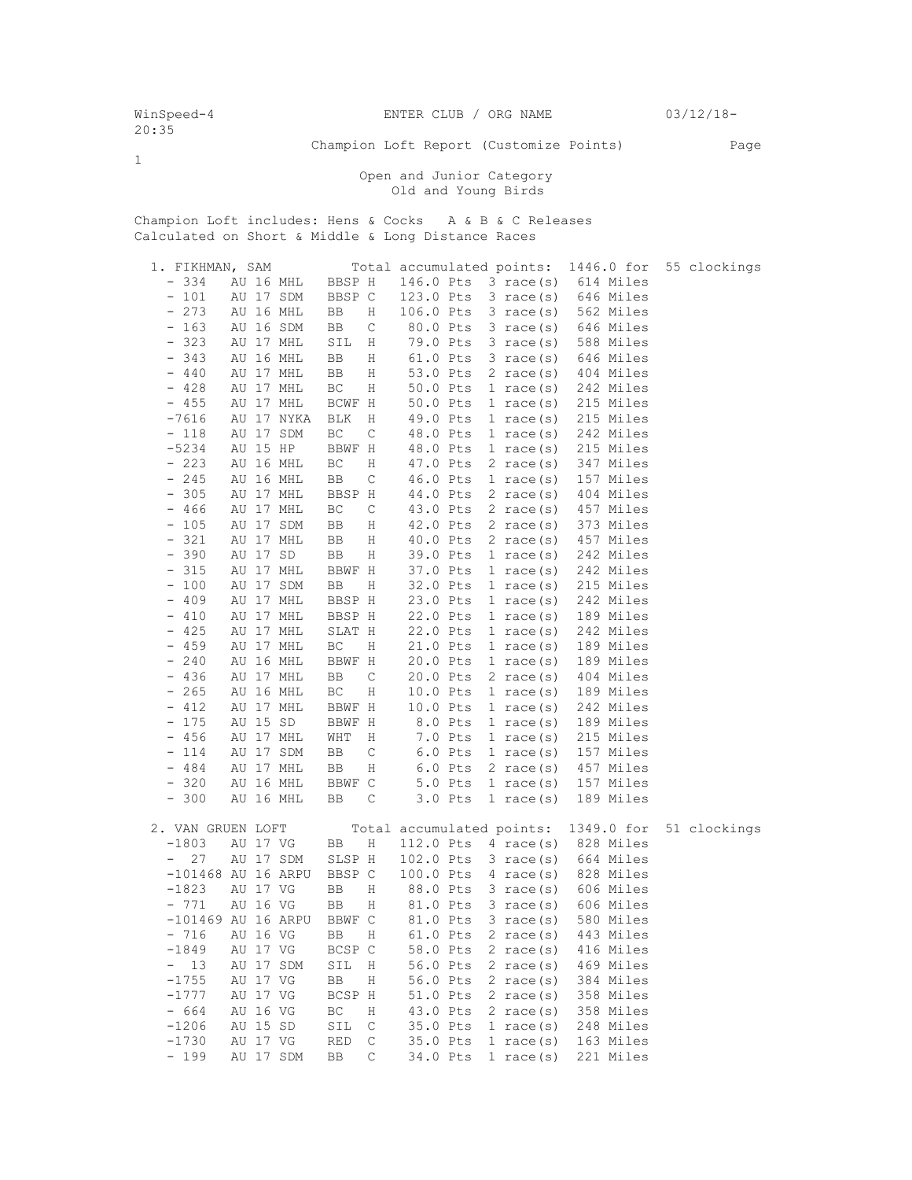1

Champion Loft Report (Customize Points) Page

 Open and Junior Category Old and Young Birds

Champion Loft includes: Hens & Cocks A & B & C Releases Calculated on Short & Middle & Long Distance Races

| 1. FIKHMAN, SAM                              |                           | Total accumulated points: |                     | 1446.0 for | 55 clockings |
|----------------------------------------------|---------------------------|---------------------------|---------------------|------------|--------------|
| $-334$<br>AU 16 MHL                          | BBSP H                    | 146.0 Pts                 | 3 race(s)           | 614 Miles  |              |
| $-101$<br>AU 17 SDM                          | BBSP C                    | 123.0 Pts                 | $3 \text{ race}(s)$ | 646 Miles  |              |
| 273<br>AU 16 MHL<br>$\qquad \qquad -$        | BB<br>Η                   | 106.0 Pts                 | $3 \text{ race}(s)$ | 562 Miles  |              |
| 163<br>AU 16 SDM<br>$\qquad \qquad -$        | BB<br>C                   | 80.0 Pts                  | $3 \text{ race}(s)$ | 646 Miles  |              |
| 323<br>AU 17 MHL<br>$\qquad \qquad -$        | SIL<br>Η                  | 79.0 Pts                  | 3 race(s)           | 588 Miles  |              |
| 343<br>AU 16 MHL<br>$\overline{\phantom{a}}$ | BB<br>Η                   | 61.0 Pts                  | $3 \text{ race}(s)$ | 646 Miles  |              |
| $-440$<br>AU 17 MHL                          | BB<br>Η                   | 53.0 Pts                  | $2 \text{ race}(s)$ | 404 Miles  |              |
| $-428$<br>AU 17 MHL                          | BC<br>Η                   | 50.0 Pts                  | $1 \text{ race}(s)$ | 242 Miles  |              |
| $-455$<br>AU 17 MHL                          | BCWF H                    | 50.0 Pts                  | 1 race $(s)$        | 215 Miles  |              |
| $-7616$<br>AU 17 NYKA                        | <b>BLK</b><br>Η           | 49.0 Pts                  | 1 race $(s)$        | 215 Miles  |              |
| $-118$<br>AU 17 SDM                          | BC<br>C                   | 48.0 Pts                  | $1 \text{ race}(s)$ | 242 Miles  |              |
| $-5234$<br>AU 15 HP                          | BBWF H                    | 48.0 Pts                  | 1 race $(s)$        | 215 Miles  |              |
| $-223$<br>AU 16 MHL                          | BC<br>Η                   | 47.0 Pts                  | $2 \text{ race}(s)$ | 347 Miles  |              |
| $-245$<br>AU 16 MHL                          | $\mathsf C$<br>BB         | 46.0 Pts                  | 1 race $(s)$        | 157 Miles  |              |
| 305<br>AU 17 MHL<br>$\qquad \qquad =$        | BBSP H                    | 44.0 Pts                  | 2 race $(s)$        | 404 Miles  |              |
| 466<br>AU 17 MHL<br>$\overline{\phantom{a}}$ | BC<br>$\mathsf C$         | 43.0 Pts                  | $2 \text{ race}(s)$ | 457 Miles  |              |
| 105<br>AU 17 SDM<br>$\overline{\phantom{a}}$ | BB<br>Η                   | 42.0 Pts                  | 2 race $(s)$        | 373 Miles  |              |
| 321<br>AU 17 MHL<br>$\qquad \qquad -$        | BB<br>Η                   | 40.0 Pts                  | 2 race $(s)$        | 457 Miles  |              |
| 390<br>AU 17 SD<br>$\qquad \qquad -$         | BB<br>Η                   | 39.0 Pts                  | 1 race $(s)$        | 242 Miles  |              |
| 315<br>AU 17 MHL<br>$\qquad \qquad -$        | BBWF H                    | 37.0 Pts                  | $1$ race(s)         | 242 Miles  |              |
| 100<br>AU 17 SDM<br>$\overline{\phantom{a}}$ | BB<br>Η                   | 32.0 Pts                  | $1 \text{ race}(s)$ | 215 Miles  |              |
| 409<br>AU 17 MHL<br>$\overline{\phantom{a}}$ | BBSP H                    | 23.0 Pts                  | $1 \text{ race}(s)$ | 242 Miles  |              |
| 410<br>AU 17 MHL<br>$\qquad \qquad -$        | BBSP H                    | 22.0 Pts                  | $1$ race(s)         | 189 Miles  |              |
| 425<br>AU 17 MHL<br>$-$                      | SLAT H                    | 22.0 Pts                  | 1 race $(s)$        | 242 Miles  |              |
| $-459$<br>AU 17 MHL                          | BC<br>Η                   | 21.0 Pts                  | $1 \text{ race}(s)$ | 189 Miles  |              |
| 240<br>$\overline{\phantom{a}}$<br>AU 16 MHL | BBWF H                    | 20.0 Pts                  | $1 \text{ race}(s)$ | 189 Miles  |              |
| $-436$<br>AU 17 MHL                          | C<br>BB                   | 20.0 Pts                  | $2 \text{ race}(s)$ | 404 Miles  |              |
| $-265$<br>AU 16 MHL                          | ВC<br>Η                   | 10.0 Pts                  | $1 \text{ race}(s)$ | 189 Miles  |              |
| 412<br>AU 17 MHL<br>$\overline{\phantom{0}}$ | BBWF H                    | 10.0 Pts                  | 1 race $(s)$        | 242 Miles  |              |
| 175<br>AU 15 SD<br>$\overline{\phantom{a}}$  | BBWF H                    | 8.0 Pts                   | $1$ race(s)         | 189 Miles  |              |
| 456<br>AU 17 MHL<br>$\overline{\phantom{a}}$ | WHT<br>Η                  | 7.0 Pts                   | $1 \text{ race}(s)$ | 215 Miles  |              |
| 114<br>AU 17 SDM<br>$\qquad \qquad =$        | C<br>BB                   | $6.0$ Pts                 | $1 \text{ race}(s)$ | 157 Miles  |              |
| $-484$<br>AU 17 MHL                          | Η<br>BB                   | $6.0$ Pts                 | 2 race $(s)$        | 457 Miles  |              |
| AU 16 MHL<br>$-320$                          | BBWF C                    | 5.0 Pts                   | $1 \text{ race}(s)$ | 157 Miles  |              |
| $-300$<br>AU 16 MHL                          | BB<br>С                   | $3.0$ Pts                 | 1 race $(s)$        | 189 Miles  |              |
|                                              |                           |                           |                     |            |              |
| 2. VAN GRUEN LOFT                            |                           | Total accumulated points: |                     | 1349.0 for | 51 clockings |
| $-1803$<br>AU 17 VG                          | Η<br>BB                   | 112.0 Pts                 | 4 race $(s)$        | 828 Miles  |              |
| 27<br>AU 17 SDM                              | SLSP H                    | 102.0 Pts                 | $3 \text{ race}(s)$ | 664 Miles  |              |
| $-101468$ AU 16 ARPU                         | BBSP C                    | 100.0 Pts                 | 4 race(s)           | 828 Miles  |              |
| $-1823$<br>AU 17 VG                          | BB<br>Η                   | 88.0 Pts                  | $3 \text{ race}(s)$ | 606 Miles  |              |
| AU 16 VG<br>$-771$                           | BB<br>Η                   | 81.0 Pts                  | $3 \text{ race}(s)$ | 606 Miles  |              |
| $-101469$ AU 16 ARPU                         | BBWF C                    | 81.0 Pts                  | $3$ race(s)         | 580 Miles  |              |
| AU 16 VG<br>$-716$                           | BB<br>Η                   | 61.0 Pts                  | 2 race $(s)$        | 443 Miles  |              |
| $-1849$<br>AU 17 VG                          | BCSP C                    | 58.0 Pts                  | 2 race $(s)$        | 416 Miles  |              |
| 13<br>AU 17 SDM<br>$-$                       | SIL<br>Η                  | 56.0 Pts                  | $2 \text{ race}(s)$ | 469 Miles  |              |
| $-1755$<br>AU 17 VG                          | BB<br>Η                   | 56.0 Pts                  | $2 \text{ race}(s)$ | 384 Miles  |              |
| $-1777$<br>AU 17 VG                          | BCSP H                    | 51.0 Pts                  | $2 \text{ race}(s)$ | 358 Miles  |              |
| $-664$<br>AU 16 VG                           | ВC<br>Η                   | 43.0 Pts                  | $2 \text{ race}(s)$ | 358 Miles  |              |
| AU 15 SD<br>$-1206$                          | SIL<br>$\mathsf C$        | 35.0 Pts                  | 1 race $(s)$        | 248 Miles  |              |
| $-1730$<br>AU 17 VG                          | <b>RED</b><br>$\mathsf C$ | 35.0 Pts                  | 1 race $(s)$        | 163 Miles  |              |
| $-199$<br>AU 17 SDM                          | С<br>BB                   | 34.0 Pts                  | $1$ race(s)         | 221 Miles  |              |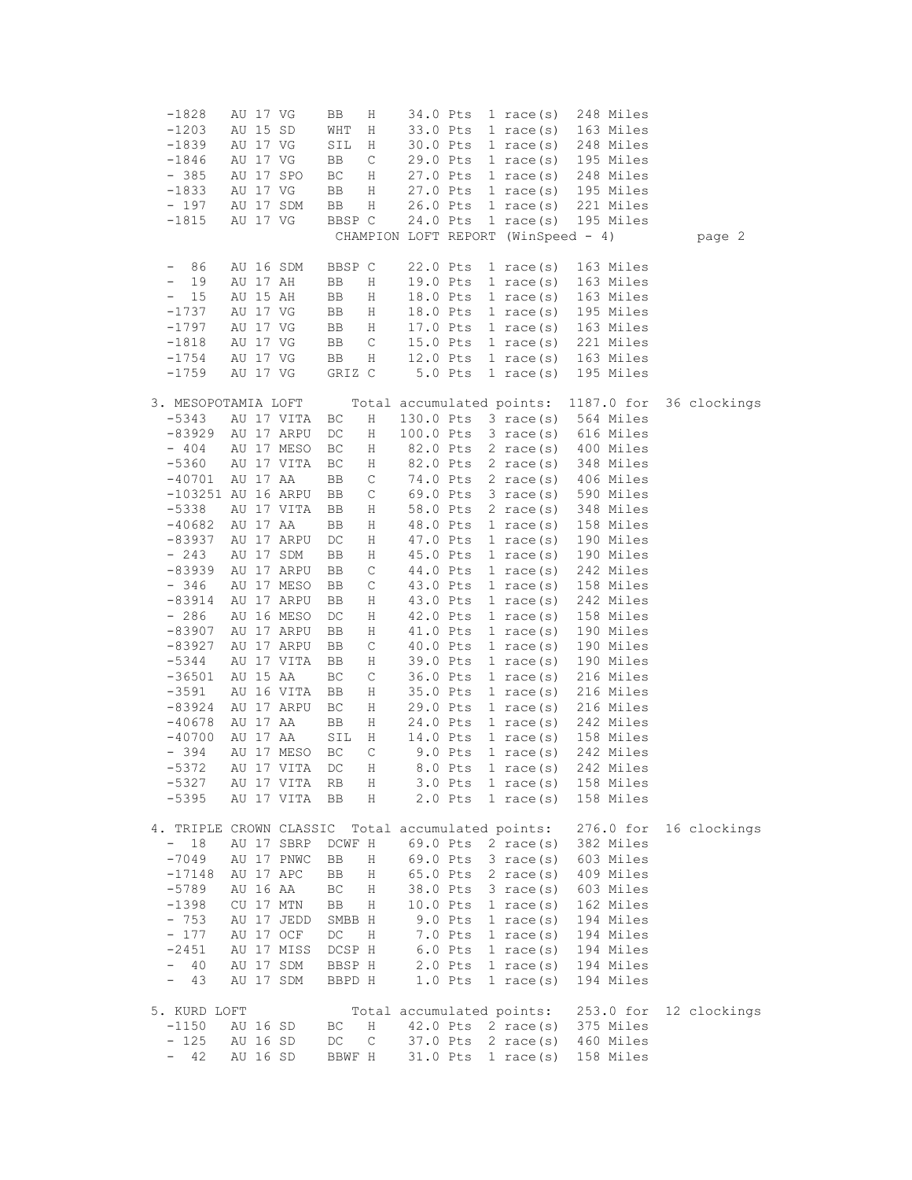| $-1828$                        |          | AU 17 VG |            | ВB     | Η           | 34.0 Pts                            |           | 1 race $(s)$        |  | 248 Miles  |              |
|--------------------------------|----------|----------|------------|--------|-------------|-------------------------------------|-----------|---------------------|--|------------|--------------|
| $-1203$                        |          | AU 15 SD |            | WHT    | Η           | 33.0 Pts                            |           | $1 \text{ race}(s)$ |  | 163 Miles  |              |
| $-1839$                        |          | AU 17 VG |            | SIL    | Η           | 30.0 Pts                            |           | $1 \text{ race}(s)$ |  | 248 Miles  |              |
| $-1846$                        |          | AU 17 VG |            | BB     | C           | 29.0 Pts                            |           | $1 \text{ race}(s)$ |  | 195 Miles  |              |
| $-385$                         |          |          | AU 17 SPO  | ВC     | Η           | 27.0 Pts                            |           | 1 race $(s)$        |  | 248 Miles  |              |
| $-1833$                        |          | AU 17 VG |            | BB     | Η           | 27.0 Pts                            |           | $1 \text{ race}(s)$ |  | 195 Miles  |              |
| $-197$                         |          |          | AU 17 SDM  | BB     | Η           | 26.0 Pts                            |           | 1 race $(s)$        |  | 221 Miles  |              |
| $-1815$                        |          | AU 17 VG |            | BBSP C |             | 24.0 Pts                            |           | $1 \text{ race(s)}$ |  | 195 Miles  |              |
|                                |          |          |            |        |             | CHAMPION LOFT REPORT (WinSpeed - 4) |           |                     |  |            | page 2       |
|                                |          |          |            |        |             |                                     |           |                     |  |            |              |
| 86                             |          |          | AU 16 SDM  | BBSP C |             | 22.0 Pts                            |           | $1 \text{ race}(s)$ |  | 163 Miles  |              |
| 19<br>$\overline{\phantom{a}}$ |          | AU 17 AH |            | BB     | Η           | 19.0 Pts                            |           | 1 race $(s)$        |  | 163 Miles  |              |
| 15<br>$\qquad \qquad -$        |          | AU 15 AH |            | BB     | Η           | 18.0 Pts                            |           | 1 race $(s)$        |  | 163 Miles  |              |
| $-1737$                        |          | AU 17 VG |            | BB     | Η           | 18.0 Pts                            |           | 1 race $(s)$        |  | 195 Miles  |              |
| $-1797$                        | AU 17 VG |          |            | BB     | Η           | 17.0 Pts                            |           | $1 \text{ race}(s)$ |  | 163 Miles  |              |
| $-1818$                        | AU 17 VG |          |            | BB     | $\mathsf C$ | 15.0 Pts                            |           | 1 race(s)           |  | 221 Miles  |              |
| $-1754$                        | AU 17 VG |          |            | BB     | Η           | 12.0 Pts                            |           | $1 \text{ race}(s)$ |  | 163 Miles  |              |
| $-1759$                        |          | AU 17 VG |            | GRIZ C |             |                                     | 5.0 Pts   | $1 \text{ race}(s)$ |  | 195 Miles  |              |
|                                |          |          |            |        |             |                                     |           |                     |  |            |              |
| 3. MESOPOTAMIA LOFT            |          |          |            |        |             | Total accumulated points:           |           |                     |  | 1187.0 for | 36 clockings |
| $-5343$                        |          |          | AU 17 VITA | ВC     | Η           | 130.0 Pts                           |           | $3 \text{ race}(s)$ |  | 564 Miles  |              |
| -83929                         |          |          | AU 17 ARPU | DC     | Η           | 100.0 Pts                           |           | $3 \text{ race(s)}$ |  | 616 Miles  |              |
| $-404$                         |          |          | AU 17 MESO | ВC     | Η           | 82.0 Pts                            |           | $2 \text{ race(s)}$ |  | 400 Miles  |              |
| $-5360$                        |          |          | AU 17 VITA | ВC     | Η           | 82.0 Pts                            |           | $2 \text{ race}(s)$ |  | 348 Miles  |              |
| $-40701$                       | AU 17 AA |          |            | BB     | С           | 74.0 Pts                            |           | $2 \text{ race}(s)$ |  | 406 Miles  |              |
| $-103251$ AU 16 ARPU           |          |          |            | BB     | $\mathsf C$ | 69.0 Pts                            |           | 3 race(s)           |  | 590 Miles  |              |
| $-5338$                        |          |          | AU 17 VITA | BB     | Η           | 58.0 Pts                            |           | $2 \text{ race}(s)$ |  | 348 Miles  |              |
| $-40682$                       | AU 17 AA |          |            | BB     | Η           | 48.0 Pts                            |           | $1 \text{ race}(s)$ |  | 158 Miles  |              |
| $-83937$                       |          |          | AU 17 ARPU | DC     | Η           | 47.0 Pts                            |           | 1 race(s)           |  | 190 Miles  |              |
| $-243$                         |          |          | AU 17 SDM  | BB     | Η           | 45.0 Pts                            |           | 1 race $(s)$        |  | 190 Miles  |              |
| $-83939$                       |          |          | AU 17 ARPU | BB     | $\mathsf C$ | 44.0 Pts                            |           | $1 \text{ race}(s)$ |  | 242 Miles  |              |
| $-346$                         |          |          | AU 17 MESO | BB     | $\mathsf C$ | 43.0 Pts                            |           | 1 race(s)           |  | 158 Miles  |              |
| -83914                         |          |          | AU 17 ARPU | BB     | Η           | 43.0 Pts                            |           | $1 \text{ race}(s)$ |  | 242 Miles  |              |
| $-286$                         |          |          | AU 16 MESO | DC     | Η           | 42.0 Pts                            |           | 1 race $(s)$        |  | 158 Miles  |              |
| $-83907$                       |          |          | AU 17 ARPU | BB     | Η           | 41.0 Pts                            |           | $1$ race(s)         |  | 190 Miles  |              |
| $-83927$                       |          |          | AU 17 ARPU | BB     | C           | 40.0 Pts                            |           | $1 \text{ race}(s)$ |  | 190 Miles  |              |
| $-5344$                        |          |          | AU 17 VITA | BB     | Η           | 39.0 Pts                            |           | 1 race $(s)$        |  | 190 Miles  |              |
| $-36501$                       |          | AU 15 AA |            | ВC     | $\mathsf C$ | 36.0 Pts                            |           | 1 race $(s)$        |  | 216 Miles  |              |
| $-3591$                        |          |          | AU 16 VITA | BB     | Η           | 35.0 Pts                            |           | $1 \text{ race}(s)$ |  | 216 Miles  |              |
| $-83924$                       |          |          | AU 17 ARPU | ВC     | Η           | 29.0 Pts                            |           | $1 \text{ race}(s)$ |  | 216 Miles  |              |
| $-40678$                       |          | AU 17 AA |            | BB     | Η           | 24.0 Pts                            |           | $1 \text{ race}(s)$ |  | 242 Miles  |              |
| $-40700$                       |          | AU 17 AA |            | SIL    | Η           | 14.0 Pts                            |           | 1 race(s)           |  | 158 Miles  |              |
| $-394$                         |          |          | AU 17 MESO | ВC     | С           |                                     | 9.0 Pts   | $1 \text{ race}(s)$ |  | 242 Miles  |              |
| $-5372$                        |          |          | AU 17 VITA | DC     | Η           |                                     | 8.0 Pts   | 1 race $(s)$        |  | 242 Miles  |              |
| $-5327$                        |          |          | AU 17 VITA | RB     | Η           |                                     | $3.0$ Pts | 1 race $(s)$        |  | 158 Miles  |              |
| $-5395$                        |          |          | AU 17 VITA | BB     | Η           |                                     | $2.0$ Pts | 1 race $(s)$        |  | 158 Miles  |              |
|                                |          |          |            |        |             |                                     |           |                     |  |            |              |
| 4. TRIPLE CROWN CLASSIC        |          |          |            |        |             | Total accumulated points:           |           |                     |  | 276.0 for  | 16 clockings |
| 18<br>$-$                      |          |          | AU 17 SBRP | DCWF H |             | 69.0 Pts                            |           | $2 \text{ race}(s)$ |  | 382 Miles  |              |
| $-7049$                        |          |          | AU 17 PNWC | BB     | Η           | 69.0 Pts                            |           | $3 \text{ race}(s)$ |  | 603 Miles  |              |
| $-17148$                       |          |          | AU 17 APC  | BB     | Η           | 65.0 Pts                            |           | $2 \text{ race}(s)$ |  | 409 Miles  |              |
| $-5789$                        |          | AU 16 AA |            | BC     | Η           | 38.0 Pts                            |           | $3 \text{ race}(s)$ |  | 603 Miles  |              |
| $-1398$                        |          |          | CU 17 MTN  | BB     | Η           | 10.0 Pts                            |           | 1 race $(s)$        |  | 162 Miles  |              |
| $-753$                         |          |          | AU 17 JEDD | SMBB H |             |                                     | $9.0$ Pts | 1 race $(s)$        |  | 194 Miles  |              |
| $-177$                         |          |          | AU 17 OCF  | DC     | Η           |                                     | 7.0 Pts   | 1 race $(s)$        |  | 194 Miles  |              |
| $-2451$                        |          |          | AU 17 MISS | DCSP H |             |                                     | $6.0$ Pts | 1 race $(s)$        |  | 194 Miles  |              |
| 40<br>$\overline{\phantom{0}}$ |          |          | AU 17 SDM  | BBSP H |             |                                     | $2.0$ Pts | 1 race $(s)$        |  | 194 Miles  |              |
| 43<br>$\qquad \qquad -$        |          |          | AU 17 SDM  | BBPD H |             |                                     | $1.0$ Pts | 1 race $(s)$        |  | 194 Miles  |              |
|                                |          |          |            |        |             |                                     |           |                     |  |            |              |
| 5. KURD LOFT                   |          |          |            |        |             | Total accumulated points:           |           |                     |  | 253.0 for  | 12 clockings |
| $-1150$                        |          | AU 16 SD |            | ВC     | Η           | 42.0 Pts                            |           | 2 race $(s)$        |  | 375 Miles  |              |
| $-125$                         |          | AU 16 SD |            | DC     | C           | 37.0 Pts                            |           | $2 \text{ race}(s)$ |  | 460 Miles  |              |
| 42                             |          | AU 16 SD |            | BBWF H |             | 31.0 Pts                            |           | 1 race $(s)$        |  | 158 Miles  |              |